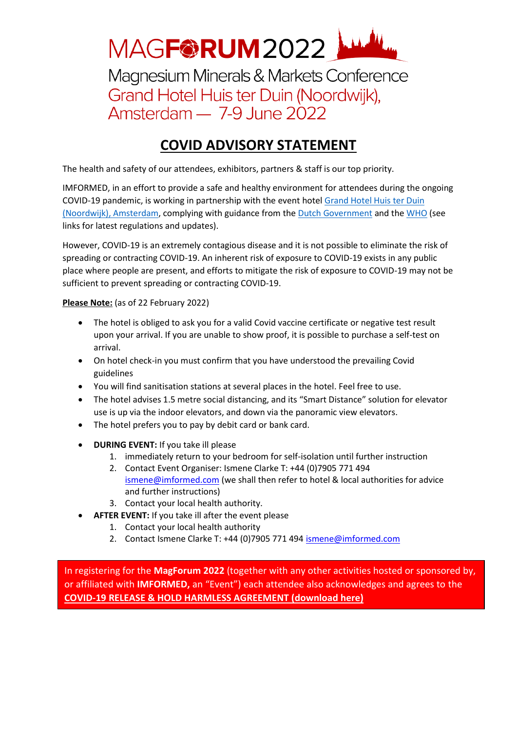

Magnesium Minerals & Markets Conference Grand Hotel Huis ter Duin (Noordwijk), Amsterdam - 7-9 June 2022

## **COVID ADVISORY STATEMENT**

The health and safety of our attendees, exhibitors, partners & staff is our top priority.

IMFORMED, in an effort to provide a safe and healthy environment for attendees during the ongoing COVID-19 pandemic, is working in partnership with the event hotel [Grand Hotel Huis ter Duin](https://huisterduin.com/official-statement-coronavirus/?lang=en)  [\(Noordwijk\), Amsterdam,](https://huisterduin.com/official-statement-coronavirus/?lang=en) complying with guidance from the Dutch [Government](https://www.rivm.nl/en) and the [WHO](https://www.who.int/health-topics/coronavirus#tab=tab_1) (see links for latest regulations and updates).

However, COVID-19 is an extremely contagious disease and it is not possible to eliminate the risk of spreading or contracting COVID-19. An inherent risk of exposure to COVID-19 exists in any public place where people are present, and efforts to mitigate the risk of exposure to COVID-19 may not be sufficient to prevent spreading or contracting COVID-19.

**Please Note:** (as of 22 February 2022)

- The hotel is obliged to ask you for a valid Covid vaccine certificate or negative test result upon your arrival. If you are unable to show proof, it is possible to purchase a self-test on arrival.
- On hotel check-in you must confirm that you have understood the prevailing Covid guidelines
- You will find sanitisation stations at several places in the hotel. Feel free to use.
- The hotel advises 1.5 metre social distancing, and its "Smart Distance" solution for elevator use is up via the indoor elevators, and down via the panoramic view elevators.
- The hotel prefers you to pay by debit card or bank card.
- **DURING EVENT:** If you take ill please
	- 1. immediately return to your bedroom for self-isolation until further instruction
	- 2. Contact Event Organiser: Ismene Clarke T: +44 (0)7905 771 494 [ismene@imformed.com](mailto:ismene@imformed.com) (we shall then refer to hotel & local authorities for advice and further instructions)
	- 3. Contact your local health authority.
	- **AFTER EVENT:** If you take ill after the event please
		- 1. Contact your local health authority
		- 2. Contact Ismene Clarke T: +44 (0)7905 771 494 [ismene@imformed.com](mailto:ismene@imformed.com)

In registering for the **MagForum 2022** (together with any other activities hosted or sponsored by, or affiliated with **IMFORMED,** an "Event") each attendee also acknowledges and agrees to the **[COVID-19 RELEASE & HOLD HARMLESS AGREEMENT \(download](http://imformed.com/download/40380/) here)**